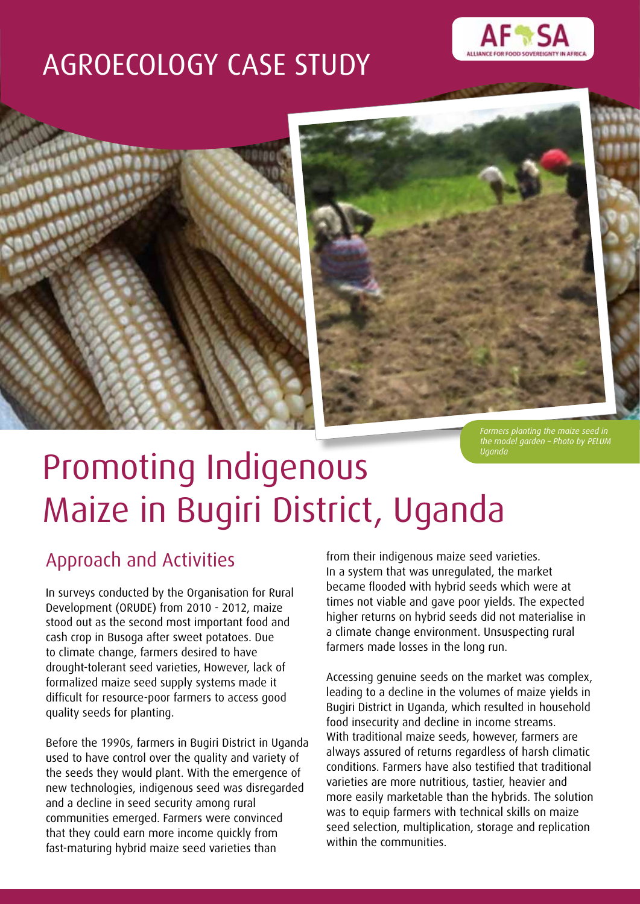## AGROECOLOGY CASE STUDY







*Farmers planting the maize seed in the model garden – Photo by PELUM Uganda*

# Promoting Indigenous Maize in Bugiri District, Uganda

### Approach and Activities

In surveys conducted by the Organisation for Rural Development (ORUDE) from 2010 - 2012, maize stood out as the second most important food and cash crop in Busoga after sweet potatoes. Due to climate change, farmers desired to have drought-tolerant seed varieties, However, lack of formalized maize seed supply systems made it difficult for resource-poor farmers to access good quality seeds for planting.

Before the 1990s, farmers in Bugiri District in Uganda used to have control over the quality and variety of the seeds they would plant. With the emergence of new technologies, indigenous seed was disregarded and a decline in seed security among rural communities emerged. Farmers were convinced that they could earn more income quickly from fast-maturing hybrid maize seed varieties than

from their indigenous maize seed varieties. In a system that was unregulated, the market became flooded with hybrid seeds which were at times not viable and gave poor yields. The expected higher returns on hybrid seeds did not materialise in a climate change environment. Unsuspecting rural farmers made losses in the long run.

Accessing genuine seeds on the market was complex, leading to a decline in the volumes of maize yields in Bugiri District in Uganda, which resulted in household food insecurity and decline in income streams. With traditional maize seeds, however, farmers are always assured of returns regardless of harsh climatic conditions. Farmers have also testified that traditional varieties are more nutritious, tastier, heavier and more easily marketable than the hybrids. The solution was to equip farmers with technical skills on maize seed selection, multiplication, storage and replication within the communities.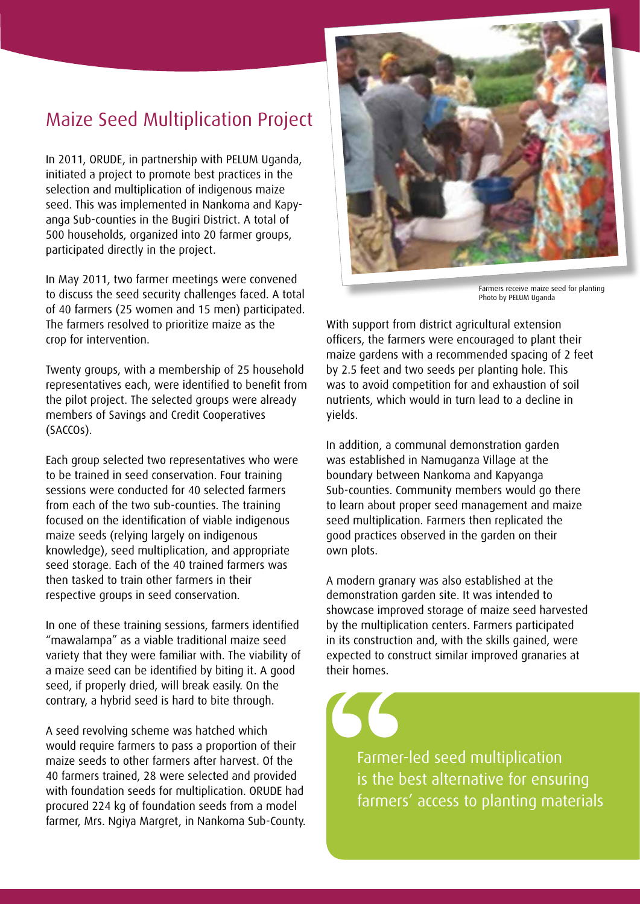### Maize Seed Multiplication Project

In 2011, ORUDE, in partnership with PELUM Uganda, initiated a project to promote best practices in the selection and multiplication of indigenous maize seed. This was implemented in Nankoma and Kapyanga Sub-counties in the Bugiri District. A total of 500 households, organized into 20 farmer groups, participated directly in the project.

In May 2011, two farmer meetings were convened to discuss the seed security challenges faced. A total of 40 farmers (25 women and 15 men) participated. The farmers resolved to prioritize maize as the crop for intervention.

Twenty groups, with a membership of 25 household representatives each, were identified to benefit from the pilot project. The selected groups were already members of Savings and Credit Cooperatives (SACCOs).

Each group selected two representatives who were to be trained in seed conservation. Four training sessions were conducted for 40 selected farmers from each of the two sub-counties. The training focused on the identification of viable indigenous maize seeds (relying largely on indigenous knowledge), seed multiplication, and appropriate seed storage. Each of the 40 trained farmers was then tasked to train other farmers in their respective groups in seed conservation.

In one of these training sessions, farmers identified "mawalampa" as a viable traditional maize seed variety that they were familiar with. The viability of a maize seed can be identified by biting it. A good seed, if properly dried, will break easily. On the contrary, a hybrid seed is hard to bite through.

A seed revolving scheme was hatched which would require farmers to pass a proportion of their maize seeds to other farmers after harvest. Of the 40 farmers trained, 28 were selected and provided with foundation seeds for multiplication. ORUDE had procured 224 kg of foundation seeds from a model farmer, Mrs. Ngiya Margret, in Nankoma Sub-County.



Farmers receive maize seed for planting Photo by PELUM Uganda

With support from district agricultural extension officers, the farmers were encouraged to plant their maize gardens with a recommended spacing of 2 feet by 2.5 feet and two seeds per planting hole. This was to avoid competition for and exhaustion of soil nutrients, which would in turn lead to a decline in yields.

In addition, a communal demonstration garden was established in Namuganza Village at the boundary between Nankoma and Kapyanga Sub-counties. Community members would go there to learn about proper seed management and maize seed multiplication. Farmers then replicated the good practices observed in the garden on their own plots.

A modern granary was also established at the demonstration garden site. It was intended to showcase improved storage of maize seed harvested by the multiplication centers. Farmers participated in its construction and, with the skills gained, were expected to construct similar improved granaries at their homes.

Farmer-led seed multiplication is the best alternative for ensuring farmers' access to planting materials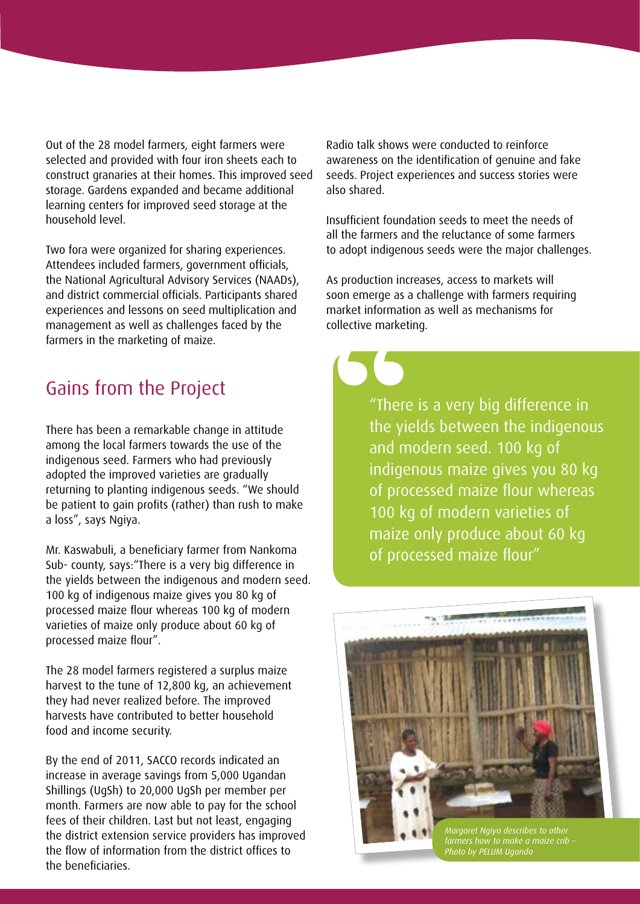Out of the 28 model farmers, eight farmers were selected and provided with four iron sheets each to construct granaries at their homes. This improved seed storage. Gardens expanded and became additional learning centers for improved seed storage at the household level.

Two fora were organized for sharing experiences. Attendees included farmers, government officials, the National Agricultural Advisory Services (NAADs), and district commercial officials. Participants shared experiences and lessons on seed multiplication and management as well as challenges faced by the farmers in the marketing of maize.

There has been a remarkable change in attitude among the local farmers towards the use of the indigenous seed. Farmers who had previously adopted the improved varieties are gradually returning to planting indigenous seeds. "We should be patient to gain profits (rather) than rush to make a loss", says Ngiya.

Mr. Kaswabuli, a beneficiary farmer from Nankoma Sub- county, says:"There is a very big difference in the yields between the indigenous and modern seed. 100 kg of indigenous maize gives you 80 kg of processed maize flour whereas 100 kg of modern varieties of maize only produce about 60 kg of processed maize flour".

The 28 model farmers registered a surplus maize harvest to the tune of 12,800 kg, an achievement they had never realized before. The improved harvests have contributed to better household food and income security.

By the end of 2011, SACCO records indicated an increase in average savings from 5,000 Ugandan Shillings (UgSh) to 20,000 UgSh per member per month. Farmers are now able to pay for the school fees of their children. Last but not least, engaging the district extension service providers has improved the flow of information from the district offices to the beneficiaries.

Radio talk shows were conducted to reinforce awareness on the identification of genuine and fake seeds. Project experiences and success stories were also shared.

Insufficient foundation seeds to meet the needs of all the farmers and the reluctance of some farmers to adopt indigenous seeds were the major challenges.

As production increases, access to markets will soon emerge as a challenge with farmers requiring market information as well as mechanisms for collective marketing.

Gains from the Project "There is a very big difference in the yields between the indigenous and modern seed. 100 kg of indigenous maize gives you 80 kg of processed maize flour whereas 100 kg of modern varieties of maize only produce about 60 kg of processed maize flour"



*Margaret Ngiya describes to other farmers how to make a maize crib – Photo by PELUM Uganda*